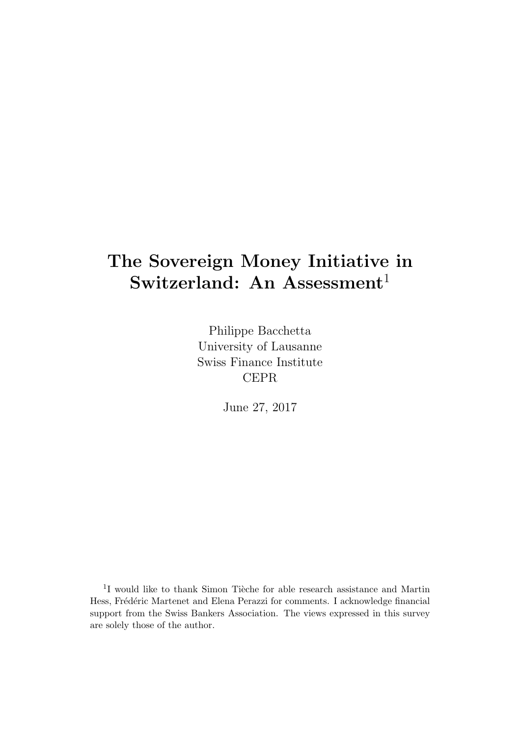# The Sovereign Money Initiative in Switzerland: An Assessment<sup>1</sup>

Philippe Bacchetta University of Lausanne Swiss Finance Institute CEPR

June 27, 2017

<sup>1</sup>I would like to thank Simon Tièche for able research assistance and Martin Hess, Frédéric Martenet and Elena Perazzi for comments. I acknowledge financial support from the Swiss Bankers Association. The views expressed in this survey are solely those of the author.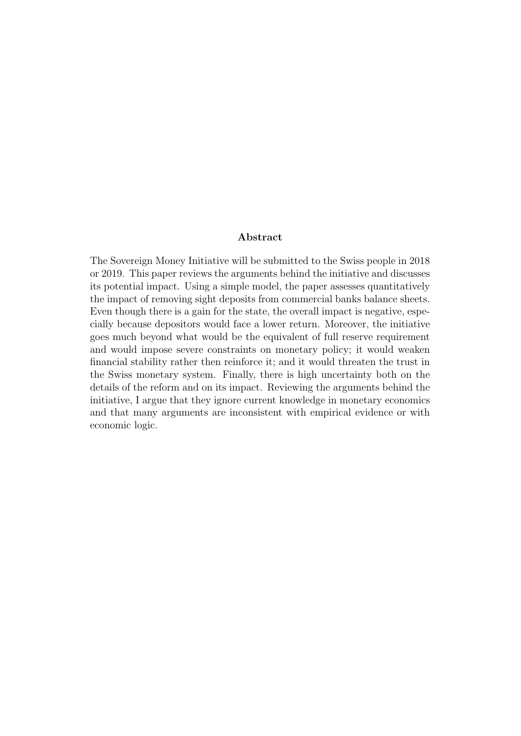#### Abstract

The Sovereign Money Initiative will be submitted to the Swiss people in 2018 or 2019. This paper reviews the arguments behind the initiative and discusses its potential impact. Using a simple model, the paper assesses quantitatively the impact of removing sight deposits from commercial banks balance sheets. Even though there is a gain for the state, the overall impact is negative, especially because depositors would face a lower return. Moreover, the initiative goes much beyond what would be the equivalent of full reserve requirement and would impose severe constraints on monetary policy; it would weaken financial stability rather then reinforce it; and it would threaten the trust in the Swiss monetary system. Finally, there is high uncertainty both on the details of the reform and on its impact. Reviewing the arguments behind the initiative, I argue that they ignore current knowledge in monetary economics and that many arguments are inconsistent with empirical evidence or with economic logic.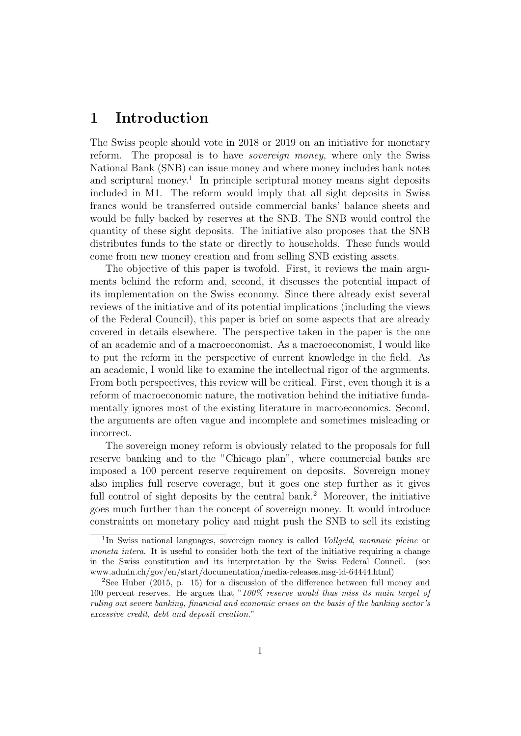## 1 Introduction

The Swiss people should vote in 2018 or 2019 on an initiative for monetary reform. The proposal is to have *sovereign money*, where only the Swiss National Bank (SNB) can issue money and where money includes bank notes and scriptural money.<sup>1</sup> In principle scriptural money means sight deposits included in M1. The reform would imply that all sight deposits in Swiss francs would be transferred outside commercial banks' balance sheets and would be fully backed by reserves at the SNB. The SNB would control the quantity of these sight deposits. The initiative also proposes that the SNB distributes funds to the state or directly to households. These funds would come from new money creation and from selling SNB existing assets.

The objective of this paper is twofold. First, it reviews the main arguments behind the reform and, second, it discusses the potential impact of its implementation on the Swiss economy. Since there already exist several reviews of the initiative and of its potential implications (including the views of the Federal Council), this paper is brief on some aspects that are already covered in details elsewhere. The perspective taken in the paper is the one of an academic and of a macroeconomist. As a macroeconomist, I would like to put the reform in the perspective of current knowledge in the field. As an academic, I would like to examine the intellectual rigor of the arguments. From both perspectives, this review will be critical. First, even though it is a reform of macroeconomic nature, the motivation behind the initiative fundamentally ignores most of the existing literature in macroeconomics. Second, the arguments are often vague and incomplete and sometimes misleading or incorrect.

The sovereign money reform is obviously related to the proposals for full reserve banking and to the "Chicago plan", where commercial banks are imposed a 100 percent reserve requirement on deposits. Sovereign money also implies full reserve coverage, but it goes one step further as it gives full control of sight deposits by the central bank.<sup>2</sup> Moreover, the initiative goes much further than the concept of sovereign money. It would introduce constraints on monetary policy and might push the SNB to sell its existing

<sup>&</sup>lt;sup>1</sup>In Swiss national languages, sovereign money is called *Vollgeld*, monnaie pleine or moneta intera. It is useful to consider both the text of the initiative requiring a change in the Swiss constitution and its interpretation by the Swiss Federal Council. (see www.admin.ch/gov/en/start/documentation/media-releases.msg-id-64444.html)

 $2$ See Huber (2015, p. 15) for a discussion of the difference between full money and 100 percent reserves. He argues that "100% reserve would thus miss its main target of ruling out severe banking, financial and economic crises on the basis of the banking sector's excessive credit, debt and deposit creation."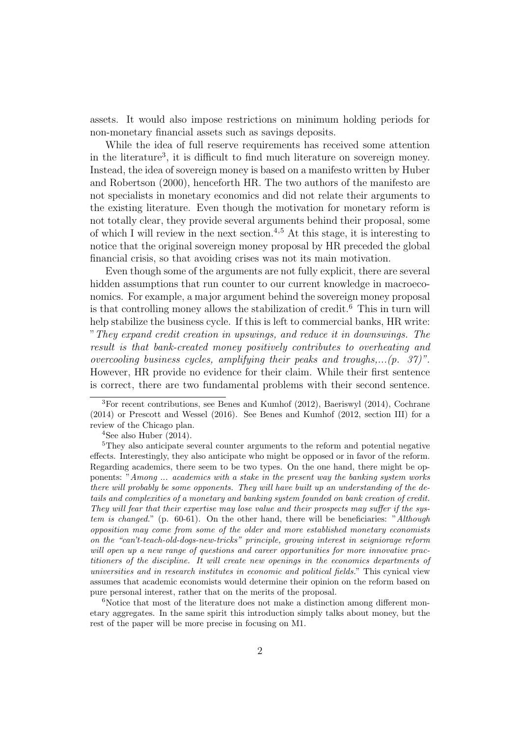assets. It would also impose restrictions on minimum holding periods for non-monetary financial assets such as savings deposits.

While the idea of full reserve requirements has received some attention in the literature<sup>3</sup> , it is difficult to find much literature on sovereign money. Instead, the idea of sovereign money is based on a manifesto written by Huber and Robertson (2000), henceforth HR. The two authors of the manifesto are not specialists in monetary economics and did not relate their arguments to the existing literature. Even though the motivation for monetary reform is not totally clear, they provide several arguments behind their proposal, some of which I will review in the next section.<sup>4</sup>,<sup>5</sup> At this stage, it is interesting to notice that the original sovereign money proposal by HR preceded the global financial crisis, so that avoiding crises was not its main motivation.

Even though some of the arguments are not fully explicit, there are several hidden assumptions that run counter to our current knowledge in macroeconomics. For example, a major argument behind the sovereign money proposal is that controlling money allows the stabilization of credit.<sup>6</sup> This in turn will help stabilize the business cycle. If this is left to commercial banks, HR write: "They expand credit creation in upswings, and reduce it in downswings. The result is that bank-created money positively contributes to overheating and overcooling business cycles, amplifying their peaks and troughs,...(p. 37)". However, HR provide no evidence for their claim. While their first sentence is correct, there are two fundamental problems with their second sentence.

 $4$ See also Huber (2014).

<sup>3</sup>For recent contributions, see Benes and Kumhof (2012), Baeriswyl (2014), Cochrane (2014) or Prescott and Wessel (2016). See Benes and Kumhof (2012, section III) for a review of the Chicago plan.

<sup>5</sup>They also anticipate several counter arguments to the reform and potential negative effects. Interestingly, they also anticipate who might be opposed or in favor of the reform. Regarding academics, there seem to be two types. On the one hand, there might be opponents: "Among ... academics with a stake in the present way the banking system works there will probably be some opponents. They will have built up an understanding of the details and complexities of a monetary and banking system founded on bank creation of credit. They will fear that their expertise may lose value and their prospects may suffer if the system is changed." (p. 60-61). On the other hand, there will be beneficiaries: "Although opposition may come from some of the older and more established monetary economists on the "can't-teach-old-dogs-new-tricks" principle, growing interest in seigniorage reform will open up a new range of questions and career opportunities for more innovative practitioners of the discipline. It will create new openings in the economics departments of universities and in research institutes in economic and political fields." This cynical view assumes that academic economists would determine their opinion on the reform based on pure personal interest, rather that on the merits of the proposal.

 $6$ Notice that most of the literature does not make a distinction among different monetary aggregates. In the same spirit this introduction simply talks about money, but the rest of the paper will be more precise in focusing on M1.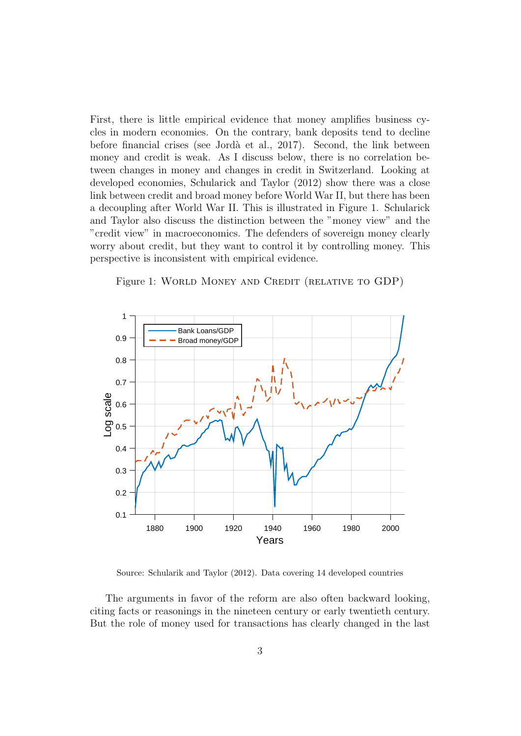First, there is little empirical evidence that money amplifies business cycles in modern economies. On the contrary, bank deposits tend to decline before financial crises (see Jordà et al., 2017). Second, the link between money and credit is weak. As I discuss below, there is no correlation between changes in money and changes in credit in Switzerland. Looking at developed economies, Schularick and Taylor (2012) show there was a close link between credit and broad money before World War II, but there has been a decoupling after World War II. This is illustrated in Figure 1. Schularick and Taylor also discuss the distinction between the "money view" and the "credit view" in macroeconomics. The defenders of sovereign money clearly worry about credit, but they want to control it by controlling money. This perspective is inconsistent with empirical evidence.



Figure 1: WORLD MONEY AND CREDIT (RELATIVE TO GDP)

Source: Schularik and Taylor (2012). Data covering 14 developed countries

The arguments in favor of the reform are also often backward looking, citing facts or reasonings in the nineteen century or early twentieth century. But the role of money used for transactions has clearly changed in the last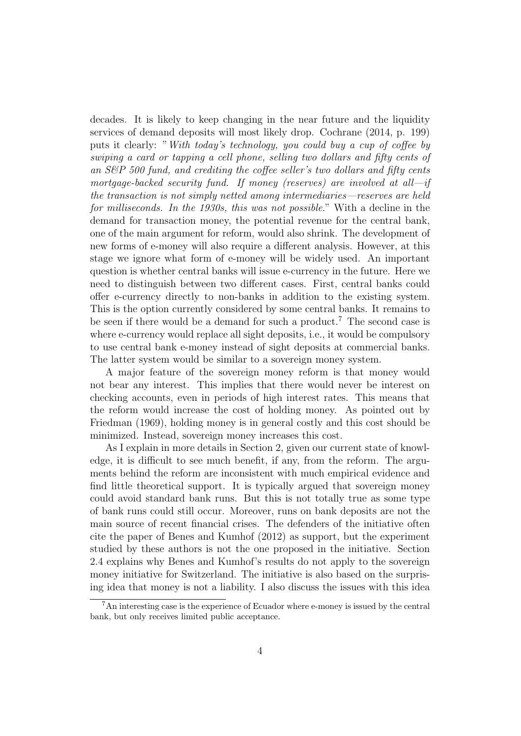decades. It is likely to keep changing in the near future and the liquidity services of demand deposits will most likely drop. Cochrane (2014, p. 199) puts it clearly: "With today's technology, you could buy a cup of coffee by swiping a card or tapping a cell phone, selling two dollars and fifty cents of an S&P 500 fund, and crediting the coffee seller's two dollars and fifty cents mortgage-backed security fund. If money (reserves) are involved at all—if the transaction is not simply netted among intermediaries—reserves are held for milliseconds. In the 1930s, this was not possible." With a decline in the demand for transaction money, the potential revenue for the central bank, one of the main argument for reform, would also shrink. The development of new forms of e-money will also require a different analysis. However, at this stage we ignore what form of e-money will be widely used. An important question is whether central banks will issue e-currency in the future. Here we need to distinguish between two different cases. First, central banks could offer e-currency directly to non-banks in addition to the existing system. This is the option currently considered by some central banks. It remains to be seen if there would be a demand for such a product.<sup>7</sup> The second case is where e-currency would replace all sight deposits, i.e., it would be compulsory to use central bank e-money instead of sight deposits at commercial banks. The latter system would be similar to a sovereign money system.

A major feature of the sovereign money reform is that money would not bear any interest. This implies that there would never be interest on checking accounts, even in periods of high interest rates. This means that the reform would increase the cost of holding money. As pointed out by Friedman (1969), holding money is in general costly and this cost should be minimized. Instead, sovereign money increases this cost.

As I explain in more details in Section 2, given our current state of knowledge, it is difficult to see much benefit, if any, from the reform. The arguments behind the reform are inconsistent with much empirical evidence and find little theoretical support. It is typically argued that sovereign money could avoid standard bank runs. But this is not totally true as some type of bank runs could still occur. Moreover, runs on bank deposits are not the main source of recent financial crises. The defenders of the initiative often cite the paper of Benes and Kumhof (2012) as support, but the experiment studied by these authors is not the one proposed in the initiative. Section 2.4 explains why Benes and Kumhof's results do not apply to the sovereign money initiative for Switzerland. The initiative is also based on the surprising idea that money is not a liability. I also discuss the issues with this idea

<sup>7</sup>An interesting case is the experience of Ecuador where e-money is issued by the central bank, but only receives limited public acceptance.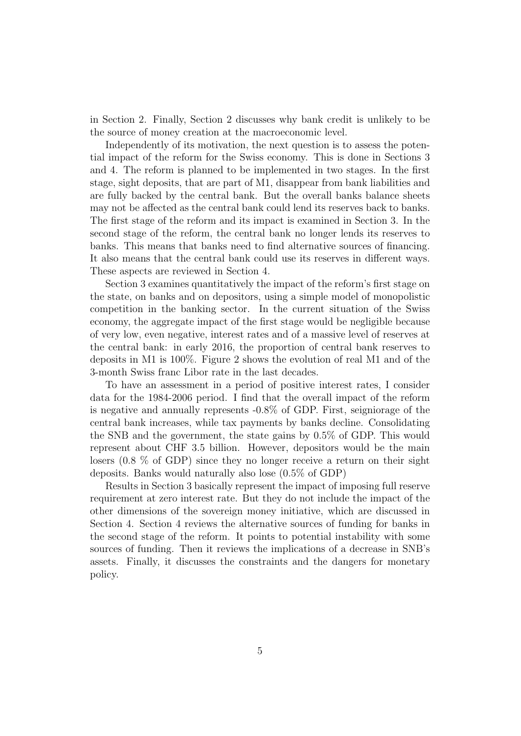in Section 2. Finally, Section 2 discusses why bank credit is unlikely to be the source of money creation at the macroeconomic level.

Independently of its motivation, the next question is to assess the potential impact of the reform for the Swiss economy. This is done in Sections 3 and 4. The reform is planned to be implemented in two stages. In the first stage, sight deposits, that are part of M1, disappear from bank liabilities and are fully backed by the central bank. But the overall banks balance sheets may not be affected as the central bank could lend its reserves back to banks. The first stage of the reform and its impact is examined in Section 3. In the second stage of the reform, the central bank no longer lends its reserves to banks. This means that banks need to find alternative sources of financing. It also means that the central bank could use its reserves in different ways. These aspects are reviewed in Section 4.

Section 3 examines quantitatively the impact of the reform's first stage on the state, on banks and on depositors, using a simple model of monopolistic competition in the banking sector. In the current situation of the Swiss economy, the aggregate impact of the first stage would be negligible because of very low, even negative, interest rates and of a massive level of reserves at the central bank: in early 2016, the proportion of central bank reserves to deposits in M1 is 100%. Figure 2 shows the evolution of real M1 and of the 3-month Swiss franc Libor rate in the last decades.

To have an assessment in a period of positive interest rates, I consider data for the 1984-2006 period. I find that the overall impact of the reform is negative and annually represents -0.8% of GDP. First, seigniorage of the central bank increases, while tax payments by banks decline. Consolidating the SNB and the government, the state gains by 0.5% of GDP. This would represent about CHF 3.5 billion. However, depositors would be the main losers (0.8 % of GDP) since they no longer receive a return on their sight deposits. Banks would naturally also lose (0.5% of GDP)

Results in Section 3 basically represent the impact of imposing full reserve requirement at zero interest rate. But they do not include the impact of the other dimensions of the sovereign money initiative, which are discussed in Section 4. Section 4 reviews the alternative sources of funding for banks in the second stage of the reform. It points to potential instability with some sources of funding. Then it reviews the implications of a decrease in SNB's assets. Finally, it discusses the constraints and the dangers for monetary policy.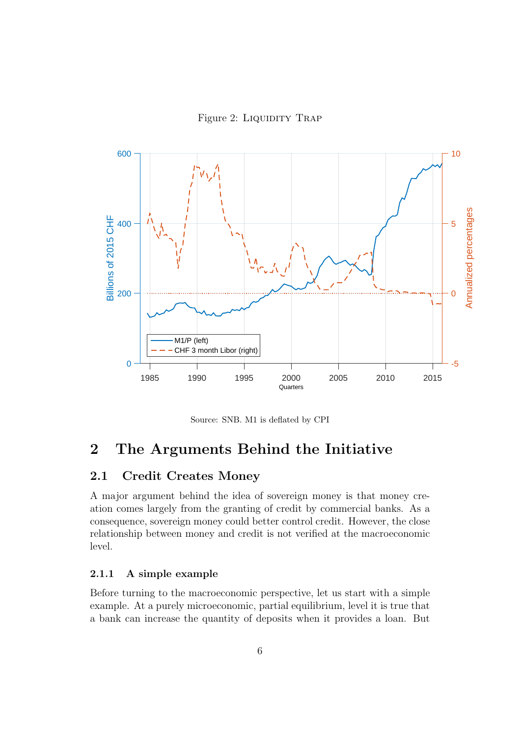Figure 2: LIQUIDITY TRAP



Source: SNB. M1 is deflated by CPI

# 2 The Arguments Behind the Initiative

## 2.1 Credit Creates Money

A major argument behind the idea of sovereign money is that money creation comes largely from the granting of credit by commercial banks. As a consequence, sovereign money could better control credit. However, the close relationship between money and credit is not verified at the macroeconomic level.

### 2.1.1 A simple example

Before turning to the macroeconomic perspective, let us start with a simple example. At a purely microeconomic, partial equilibrium, level it is true that a bank can increase the quantity of deposits when it provides a loan. But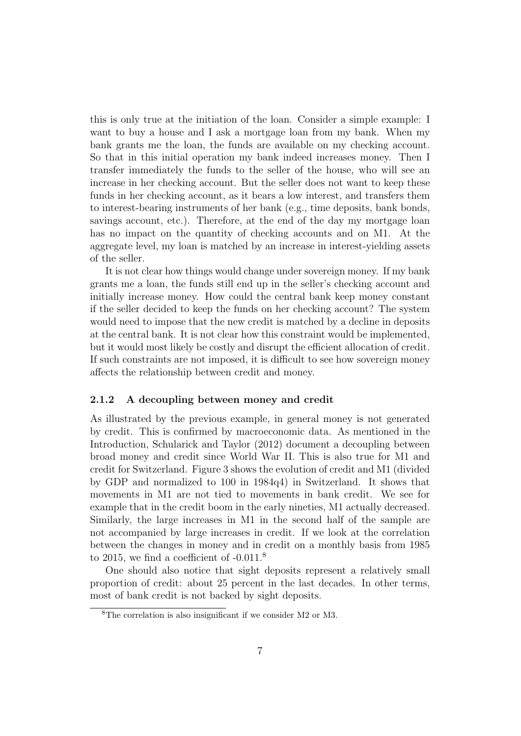this is only true at the initiation of the loan. Consider a simple example: I want to buy a house and I ask a mortgage loan from my bank. When my bank grants me the loan, the funds are available on my checking account. So that in this initial operation my bank indeed increases money. Then I transfer immediately the funds to the seller of the house, who will see an increase in her checking account. But the seller does not want to keep these funds in her checking account, as it bears a low interest, and transfers them to interest-bearing instruments of her bank (e.g., time deposits, bank bonds, savings account, etc.). Therefore, at the end of the day my mortgage loan has no impact on the quantity of checking accounts and on M1. At the aggregate level, my loan is matched by an increase in interest-yielding assets of the seller.

It is not clear how things would change under sovereign money. If my bank grants me a loan, the funds still end up in the seller's checking account and initially increase money. How could the central bank keep money constant if the seller decided to keep the funds on her checking account? The system would need to impose that the new credit is matched by a decline in deposits at the central bank. It is not clear how this constraint would be implemented, but it would most likely be costly and disrupt the efficient allocation of credit. If such constraints are not imposed, it is difficult to see how sovereign money affects the relationship between credit and money.

#### 2.1.2 A decoupling between money and credit

As illustrated by the previous example, in general money is not generated by credit. This is confirmed by macroeconomic data. As mentioned in the Introduction, Schularick and Taylor (2012) document a decoupling between broad money and credit since World War II. This is also true for M1 and credit for Switzerland. Figure 3 shows the evolution of credit and M1 (divided by GDP and normalized to 100 in 1984q4) in Switzerland. It shows that movements in M1 are not tied to movements in bank credit. We see for example that in the credit boom in the early nineties, M1 actually decreased. Similarly, the large increases in M1 in the second half of the sample are not accompanied by large increases in credit. If we look at the correlation between the changes in money and in credit on a monthly basis from 1985 to 2015, we find a coefficient of  $-0.011$ .<sup>8</sup>

One should also notice that sight deposits represent a relatively small proportion of credit: about 25 percent in the last decades. In other terms, most of bank credit is not backed by sight deposits.

<sup>8</sup>The correlation is also insignificant if we consider M2 or M3.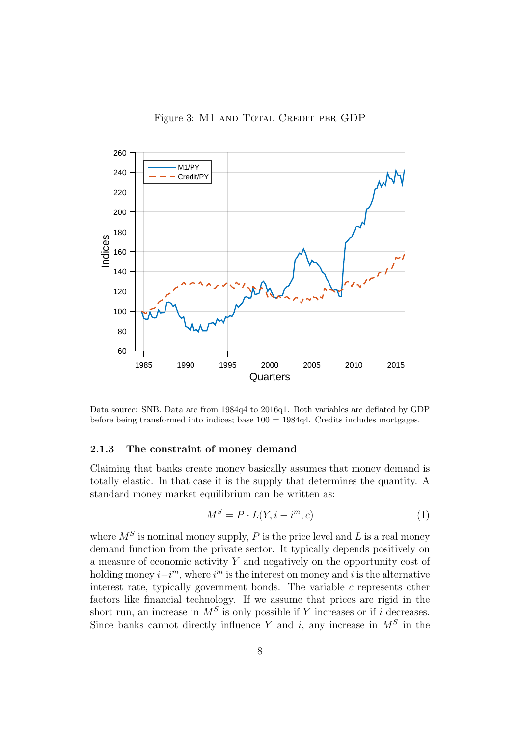Figure 3: M1 AND TOTAL CREDIT PER GDP



Data source: SNB. Data are from 1984q4 to 2016q1. Both variables are deflated by GDP before being transformed into indices; base  $100 = 1984q4$ . Credits includes mortgages.

#### 2.1.3 The constraint of money demand

Claiming that banks create money basically assumes that money demand is totally elastic. In that case it is the supply that determines the quantity. A standard money market equilibrium can be written as:

$$
M^S = P \cdot L(Y, i - i^m, c) \tag{1}
$$

where  $M^S$  is nominal money supply, P is the price level and L is a real money demand function from the private sector. It typically depends positively on a measure of economic activity Y and negatively on the opportunity cost of holding money  $i-i^m$ , where  $i^m$  is the interest on money and i is the alternative interest rate, typically government bonds. The variable  $c$  represents other factors like financial technology. If we assume that prices are rigid in the short run, an increase in  $M<sup>S</sup>$  is only possible if Y increases or if i decreases. Since banks cannot directly influence Y and i, any increase in  $M<sup>S</sup>$  in the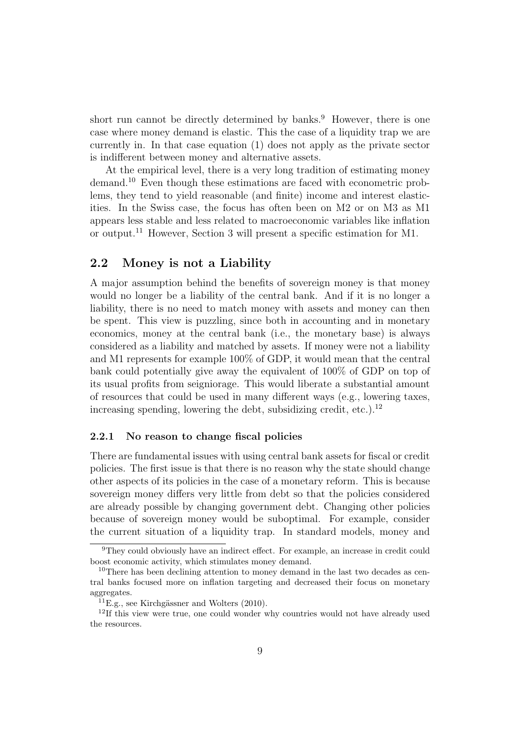short run cannot be directly determined by banks. $9$  However, there is one case where money demand is elastic. This the case of a liquidity trap we are currently in. In that case equation (1) does not apply as the private sector is indifferent between money and alternative assets.

At the empirical level, there is a very long tradition of estimating money demand.<sup>10</sup> Even though these estimations are faced with econometric problems, they tend to yield reasonable (and finite) income and interest elasticities. In the Swiss case, the focus has often been on M2 or on M3 as M1 appears less stable and less related to macroeconomic variables like inflation or output.<sup>11</sup> However, Section 3 will present a specific estimation for M1.

## 2.2 Money is not a Liability

A major assumption behind the benefits of sovereign money is that money would no longer be a liability of the central bank. And if it is no longer a liability, there is no need to match money with assets and money can then be spent. This view is puzzling, since both in accounting and in monetary economics, money at the central bank (i.e., the monetary base) is always considered as a liability and matched by assets. If money were not a liability and M1 represents for example 100% of GDP, it would mean that the central bank could potentially give away the equivalent of 100% of GDP on top of its usual profits from seigniorage. This would liberate a substantial amount of resources that could be used in many different ways (e.g., lowering taxes, increasing spending, lowering the debt, subsidizing credit, etc.).<sup>12</sup>

#### 2.2.1 No reason to change fiscal policies

There are fundamental issues with using central bank assets for fiscal or credit policies. The first issue is that there is no reason why the state should change other aspects of its policies in the case of a monetary reform. This is because sovereign money differs very little from debt so that the policies considered are already possible by changing government debt. Changing other policies because of sovereign money would be suboptimal. For example, consider the current situation of a liquidity trap. In standard models, money and

<sup>&</sup>lt;sup>9</sup>They could obviously have an indirect effect. For example, an increase in credit could boost economic activity, which stimulates money demand.

<sup>&</sup>lt;sup>10</sup>There has been declining attention to money demand in the last two decades as central banks focused more on inflation targeting and decreased their focus on monetary aggregates.

 ${}^{11}E.g.,$  see Kirchgässner and Wolters (2010).

<sup>&</sup>lt;sup>12</sup>If this view were true, one could wonder why countries would not have already used the resources.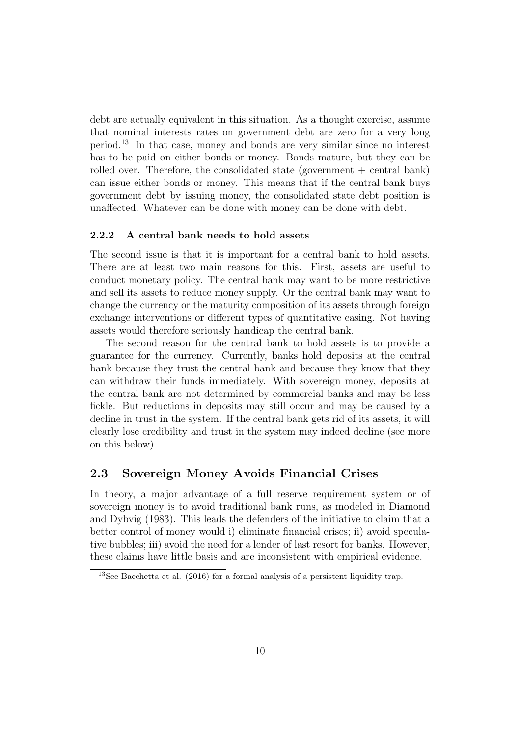debt are actually equivalent in this situation. As a thought exercise, assume that nominal interests rates on government debt are zero for a very long period.<sup>13</sup> In that case, money and bonds are very similar since no interest has to be paid on either bonds or money. Bonds mature, but they can be rolled over. Therefore, the consolidated state (government  $+$  central bank) can issue either bonds or money. This means that if the central bank buys government debt by issuing money, the consolidated state debt position is unaffected. Whatever can be done with money can be done with debt.

#### 2.2.2 A central bank needs to hold assets

The second issue is that it is important for a central bank to hold assets. There are at least two main reasons for this. First, assets are useful to conduct monetary policy. The central bank may want to be more restrictive and sell its assets to reduce money supply. Or the central bank may want to change the currency or the maturity composition of its assets through foreign exchange interventions or different types of quantitative easing. Not having assets would therefore seriously handicap the central bank.

The second reason for the central bank to hold assets is to provide a guarantee for the currency. Currently, banks hold deposits at the central bank because they trust the central bank and because they know that they can withdraw their funds immediately. With sovereign money, deposits at the central bank are not determined by commercial banks and may be less fickle. But reductions in deposits may still occur and may be caused by a decline in trust in the system. If the central bank gets rid of its assets, it will clearly lose credibility and trust in the system may indeed decline (see more on this below).

## 2.3 Sovereign Money Avoids Financial Crises

In theory, a major advantage of a full reserve requirement system or of sovereign money is to avoid traditional bank runs, as modeled in Diamond and Dybvig (1983). This leads the defenders of the initiative to claim that a better control of money would i) eliminate financial crises; ii) avoid speculative bubbles; iii) avoid the need for a lender of last resort for banks. However, these claims have little basis and are inconsistent with empirical evidence.

<sup>13</sup>See Bacchetta et al. (2016) for a formal analysis of a persistent liquidity trap.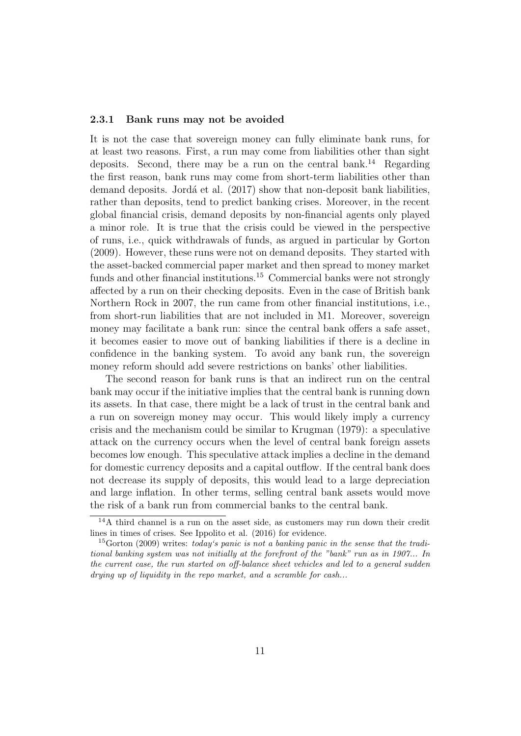#### 2.3.1 Bank runs may not be avoided

It is not the case that sovereign money can fully eliminate bank runs, for at least two reasons. First, a run may come from liabilities other than sight deposits. Second, there may be a run on the central bank.<sup>14</sup> Regarding the first reason, bank runs may come from short-term liabilities other than demand deposits. Jordá et al.  $(2017)$  show that non-deposit bank liabilities, rather than deposits, tend to predict banking crises. Moreover, in the recent global financial crisis, demand deposits by non-financial agents only played a minor role. It is true that the crisis could be viewed in the perspective of runs, i.e., quick withdrawals of funds, as argued in particular by Gorton (2009). However, these runs were not on demand deposits. They started with the asset-backed commercial paper market and then spread to money market funds and other financial institutions.<sup>15</sup> Commercial banks were not strongly affected by a run on their checking deposits. Even in the case of British bank Northern Rock in 2007, the run came from other financial institutions, i.e., from short-run liabilities that are not included in M1. Moreover, sovereign money may facilitate a bank run: since the central bank offers a safe asset, it becomes easier to move out of banking liabilities if there is a decline in confidence in the banking system. To avoid any bank run, the sovereign money reform should add severe restrictions on banks' other liabilities.

The second reason for bank runs is that an indirect run on the central bank may occur if the initiative implies that the central bank is running down its assets. In that case, there might be a lack of trust in the central bank and a run on sovereign money may occur. This would likely imply a currency crisis and the mechanism could be similar to Krugman (1979): a speculative attack on the currency occurs when the level of central bank foreign assets becomes low enough. This speculative attack implies a decline in the demand for domestic currency deposits and a capital outflow. If the central bank does not decrease its supply of deposits, this would lead to a large depreciation and large inflation. In other terms, selling central bank assets would move the risk of a bank run from commercial banks to the central bank.

<sup>14</sup>A third channel is a run on the asset side, as customers may run down their credit lines in times of crises. See Ippolito et al. (2016) for evidence.

<sup>&</sup>lt;sup>15</sup>Gorton (2009) writes: today's panic is not a banking panic in the sense that the traditional banking system was not initially at the forefront of the "bank" run as in 1907... In the current case, the run started on off-balance sheet vehicles and led to a general sudden drying up of liquidity in the repo market, and a scramble for cash...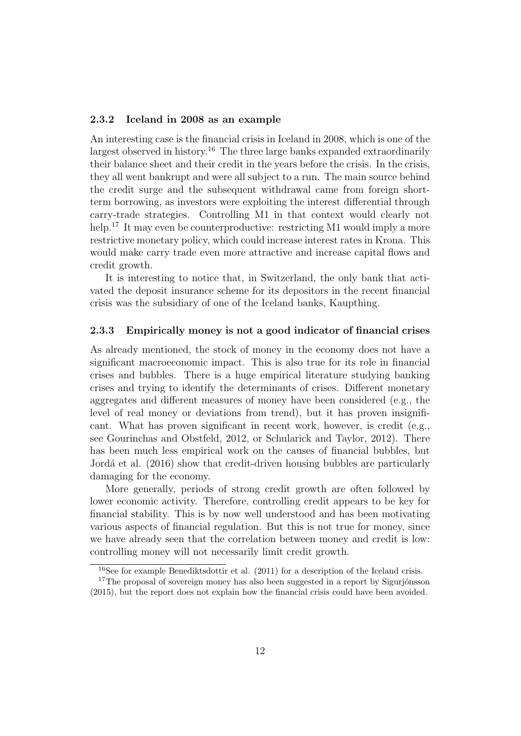#### 2.3.2 Iceland in 2008 as an example

An interesting case is the financial crisis in Iceland in 2008, which is one of the largest observed in history.<sup>16</sup> The three large banks expanded extraordinarily their balance sheet and their credit in the years before the crisis. In the crisis, they all went bankrupt and were all subject to a run. The main source behind the credit surge and the subsequent withdrawal came from foreign shortterm borrowing, as investors were exploiting the interest differential through carry-trade strategies. Controlling M1 in that context would clearly not help.<sup>17</sup> It may even be counterproductive: restricting M1 would imply a more restrictive monetary policy, which could increase interest rates in Krona. This would make carry trade even more attractive and increase capital flows and credit growth.

It is interesting to notice that, in Switzerland, the only bank that activated the deposit insurance scheme for its depositors in the recent financial crisis was the subsidiary of one of the Iceland banks, Kaupthing.

#### 2.3.3 Empirically money is not a good indicator of financial crises

As already mentioned, the stock of money in the economy does not have a significant macroeconomic impact. This is also true for its role in financial crises and bubbles. There is a huge empirical literature studying banking crises and trying to identify the determinants of crises. Different monetary aggregates and different measures of money have been considered (e.g., the level of real money or deviations from trend), but it has proven insignificant. What has proven significant in recent work, however, is credit (e.g., see Gourinchas and Obstfeld, 2012, or Schularick and Taylor, 2012). There has been much less empirical work on the causes of financial bubbles, but Jordá et al. (2016) show that credit-driven housing bubbles are particularly damaging for the economy.

More generally, periods of strong credit growth are often followed by lower economic activity. Therefore, controlling credit appears to be key for financial stability. This is by now well understood and has been motivating various aspects of financial regulation. But this is not true for money, since we have already seen that the correlation between money and credit is low: controlling money will not necessarily limit credit growth.

<sup>16</sup>See for example Benediktsdottir et al. (2011) for a description of the Iceland crisis.

 $17$ The proposal of sovereign money has also been suggested in a report by Sigurjónsson (2015), but the report does not explain how the financial crisis could have been avoided.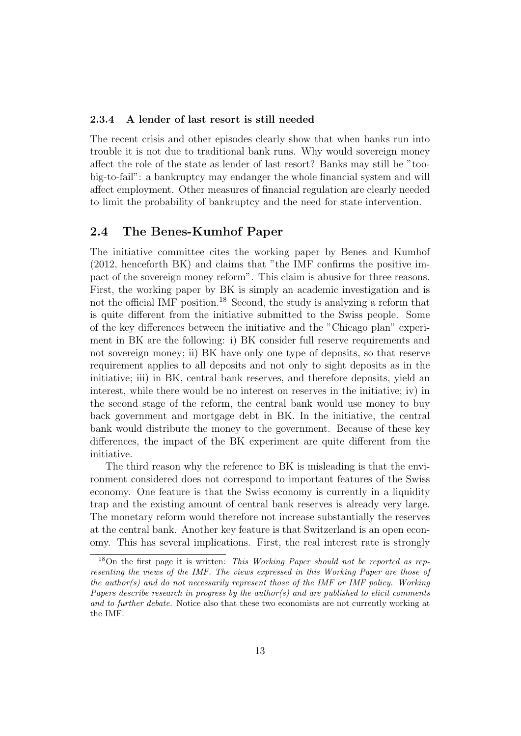#### 2.3.4 A lender of last resort is still needed

The recent crisis and other episodes clearly show that when banks run into trouble it is not due to traditional bank runs. Why would sovereign money affect the role of the state as lender of last resort? Banks may still be "toobig-to-fail": a bankruptcy may endanger the whole financial system and will affect employment. Other measures of financial regulation are clearly needed to limit the probability of bankruptcy and the need for state intervention.

## 2.4 The Benes-Kumhof Paper

The initiative committee cites the working paper by Benes and Kumhof (2012, henceforth BK) and claims that "the IMF confirms the positive impact of the sovereign money reform". This claim is abusive for three reasons. First, the working paper by BK is simply an academic investigation and is not the official IMF position.<sup>18</sup> Second, the study is analyzing a reform that is quite different from the initiative submitted to the Swiss people. Some of the key differences between the initiative and the "Chicago plan" experiment in BK are the following: i) BK consider full reserve requirements and not sovereign money; ii) BK have only one type of deposits, so that reserve requirement applies to all deposits and not only to sight deposits as in the initiative; iii) in BK, central bank reserves, and therefore deposits, yield an interest, while there would be no interest on reserves in the initiative; iv) in the second stage of the reform, the central bank would use money to buy back government and mortgage debt in BK. In the initiative, the central bank would distribute the money to the government. Because of these key differences, the impact of the BK experiment are quite different from the initiative.

The third reason why the reference to BK is misleading is that the environment considered does not correspond to important features of the Swiss economy. One feature is that the Swiss economy is currently in a liquidity trap and the existing amount of central bank reserves is already very large. The monetary reform would therefore not increase substantially the reserves at the central bank. Another key feature is that Switzerland is an open economy. This has several implications. First, the real interest rate is strongly

 $18$ On the first page it is written: This Working Paper should not be reported as representing the views of the IMF. The views expressed in this Working Paper are those of the author(s) and do not necessarily represent those of the IMF or IMF policy. Working Papers describe research in progress by the author(s) and are published to elicit comments and to further debate. Notice also that these two economists are not currently working at the IMF.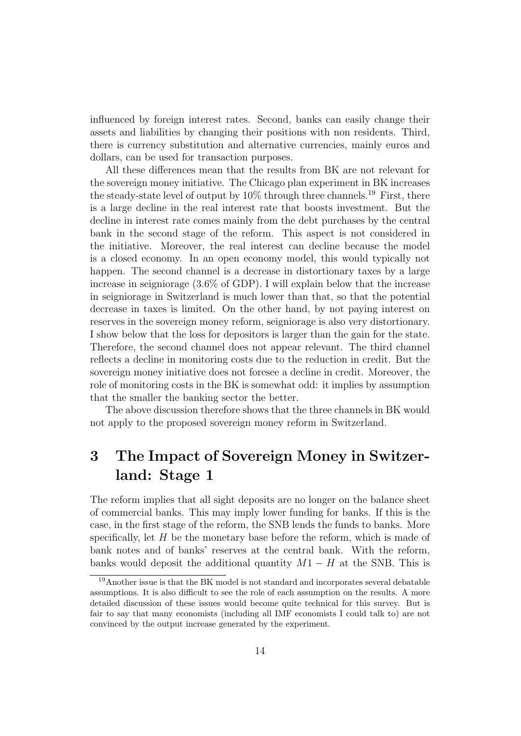influenced by foreign interest rates. Second, banks can easily change their assets and liabilities by changing their positions with non residents. Third, there is currency substitution and alternative currencies, mainly euros and dollars, can be used for transaction purposes.

All these differences mean that the results from BK are not relevant for the sovereign money initiative. The Chicago plan experiment in BK increases the steady-state level of output by  $10\%$  through three channels.<sup>19</sup> First, there is a large decline in the real interest rate that boosts investment. But the decline in interest rate comes mainly from the debt purchases by the central bank in the second stage of the reform. This aspect is not considered in the initiative. Moreover, the real interest can decline because the model is a closed economy. In an open economy model, this would typically not happen. The second channel is a decrease in distortionary taxes by a large increase in seigniorage (3.6% of GDP). I will explain below that the increase in seigniorage in Switzerland is much lower than that, so that the potential decrease in taxes is limited. On the other hand, by not paying interest on reserves in the sovereign money reform, seigniorage is also very distortionary. I show below that the loss for depositors is larger than the gain for the state. Therefore, the second channel does not appear relevant. The third channel reflects a decline in monitoring costs due to the reduction in credit. But the sovereign money initiative does not foresee a decline in credit. Moreover, the role of monitoring costs in the BK is somewhat odd: it implies by assumption that the smaller the banking sector the better.

The above discussion therefore shows that the three channels in BK would not apply to the proposed sovereign money reform in Switzerland.

# 3 The Impact of Sovereign Money in Switzerland: Stage 1

The reform implies that all sight deposits are no longer on the balance sheet of commercial banks. This may imply lower funding for banks. If this is the case, in the first stage of the reform, the SNB lends the funds to banks. More specifically, let  $H$  be the monetary base before the reform, which is made of bank notes and of banks' reserves at the central bank. With the reform, banks would deposit the additional quantity  $M_1 - H$  at the SNB. This is

 $^{19}\mathrm{Another}$  issue is that the BK model is not standard and incorporates several debatable assumptions. It is also difficult to see the role of each assumption on the results. A more detailed discussion of these issues would become quite technical for this survey. But is fair to say that many economists (including all IMF economists I could talk to) are not convinced by the output increase generated by the experiment.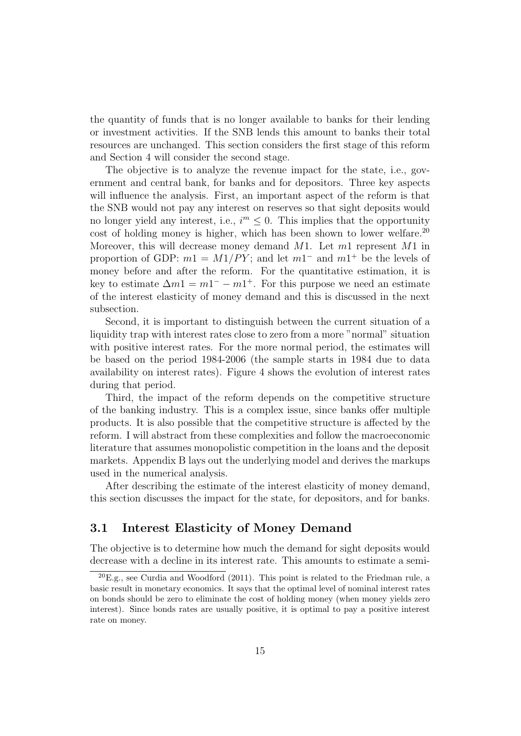the quantity of funds that is no longer available to banks for their lending or investment activities. If the SNB lends this amount to banks their total resources are unchanged. This section considers the first stage of this reform and Section 4 will consider the second stage.

The objective is to analyze the revenue impact for the state, i.e., government and central bank, for banks and for depositors. Three key aspects will influence the analysis. First, an important aspect of the reform is that the SNB would not pay any interest on reserves so that sight deposits would no longer yield any interest, i.e.,  $i^m \leq 0$ . This implies that the opportunity cost of holding money is higher, which has been shown to lower welfare.<sup>20</sup> Moreover, this will decrease money demand  $M1$ . Let  $m1$  represent  $M1$  in proportion of GDP:  $m1 = M1/PY$ ; and let  $m1^-$  and  $m1^+$  be the levels of money before and after the reform. For the quantitative estimation, it is key to estimate  $\Delta m = m - m_1 +$ . For this purpose we need an estimate of the interest elasticity of money demand and this is discussed in the next subsection.

Second, it is important to distinguish between the current situation of a liquidity trap with interest rates close to zero from a more "normal" situation with positive interest rates. For the more normal period, the estimates will be based on the period 1984-2006 (the sample starts in 1984 due to data availability on interest rates). Figure 4 shows the evolution of interest rates during that period.

Third, the impact of the reform depends on the competitive structure of the banking industry. This is a complex issue, since banks offer multiple products. It is also possible that the competitive structure is affected by the reform. I will abstract from these complexities and follow the macroeconomic literature that assumes monopolistic competition in the loans and the deposit markets. Appendix B lays out the underlying model and derives the markups used in the numerical analysis.

After describing the estimate of the interest elasticity of money demand, this section discusses the impact for the state, for depositors, and for banks.

## 3.1 Interest Elasticity of Money Demand

The objective is to determine how much the demand for sight deposits would decrease with a decline in its interest rate. This amounts to estimate a semi-

 $^{20}E.g.,$  see Curdia and Woodford (2011). This point is related to the Friedman rule, a basic result in monetary economics. It says that the optimal level of nominal interest rates on bonds should be zero to eliminate the cost of holding money (when money yields zero interest). Since bonds rates are usually positive, it is optimal to pay a positive interest rate on money.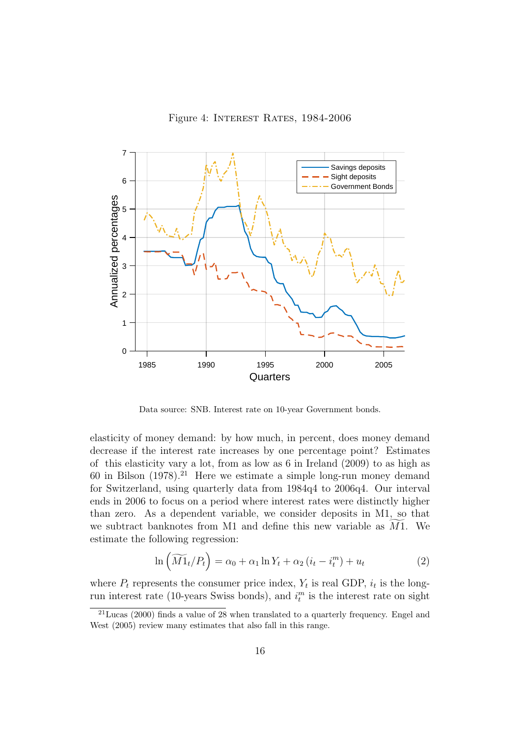Figure 4: INTEREST RATES, 1984-2006



Data source: SNB. Interest rate on 10-year Government bonds.

elasticity of money demand: by how much, in percent, does money demand decrease if the interest rate increases by one percentage point? Estimates of this elasticity vary a lot, from as low as 6 in Ireland (2009) to as high as 60 in Bilson  $(1978)^{21}$  Here we estimate a simple long-run money demand for Switzerland, using quarterly data from 1984q4 to 2006q4. Our interval ends in 2006 to focus on a period where interest rates were distinctly higher than zero. As a dependent variable, we consider deposits in M1, so that we subtract banknotes from M1 and define this new variable as  $M1$ . We estimate the following regression:

$$
\ln\left(\widetilde{M1}_t/P_t\right) = \alpha_0 + \alpha_1 \ln Y_t + \alpha_2 \left(i_t - i_t^m\right) + u_t \tag{2}
$$

where  $P_t$  represents the consumer price index,  $Y_t$  is real GDP,  $i_t$  is the longrun interest rate (10-years Swiss bonds), and  $i_t^m$  is the interest rate on sight

<sup>21</sup>Lucas (2000) finds a value of 28 when translated to a quarterly frequency. Engel and West (2005) review many estimates that also fall in this range.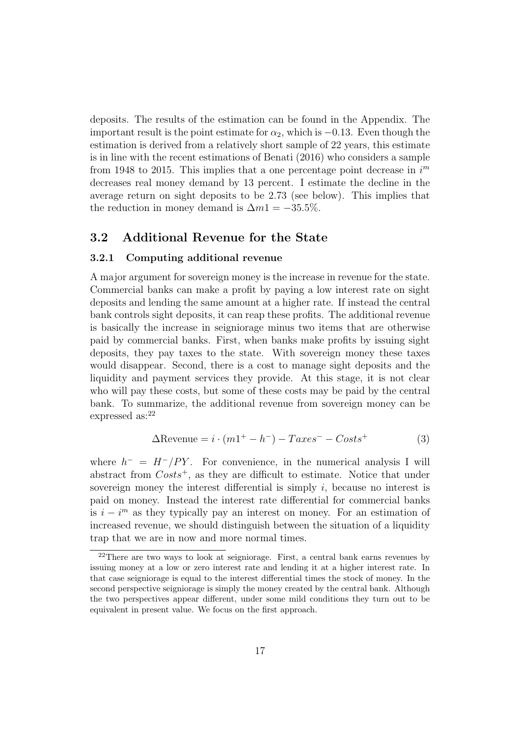deposits. The results of the estimation can be found in the Appendix. The important result is the point estimate for  $\alpha_2$ , which is −0.13. Even though the estimation is derived from a relatively short sample of 22 years, this estimate is in line with the recent estimations of Benati (2016) who considers a sample from 1948 to 2015. This implies that a one percentage point decrease in  $i<sup>m</sup>$ decreases real money demand by 13 percent. I estimate the decline in the average return on sight deposits to be 2.73 (see below). This implies that the reduction in money demand is  $\Delta m1 = -35.5\%$ .

## 3.2 Additional Revenue for the State

#### 3.2.1 Computing additional revenue

A major argument for sovereign money is the increase in revenue for the state. Commercial banks can make a profit by paying a low interest rate on sight deposits and lending the same amount at a higher rate. If instead the central bank controls sight deposits, it can reap these profits. The additional revenue is basically the increase in seigniorage minus two items that are otherwise paid by commercial banks. First, when banks make profits by issuing sight deposits, they pay taxes to the state. With sovereign money these taxes would disappear. Second, there is a cost to manage sight deposits and the liquidity and payment services they provide. At this stage, it is not clear who will pay these costs, but some of these costs may be paid by the central bank. To summarize, the additional revenue from sovereign money can be expressed as:<sup>22</sup>

$$
\Delta \text{Revenue} = i \cdot (m1^+ - h^-) - Taxes^- - Costs^+ \tag{3}
$$

where  $h^- = H^-/PY$ . For convenience, in the numerical analysis I will abstract from  $Costs^+$ , as they are difficult to estimate. Notice that under sovereign money the interest differential is simply  $i$ , because no interest is paid on money. Instead the interest rate differential for commercial banks is  $i - i<sup>m</sup>$  as they typically pay an interest on money. For an estimation of increased revenue, we should distinguish between the situation of a liquidity trap that we are in now and more normal times.

<sup>22</sup>There are two ways to look at seigniorage. First, a central bank earns revenues by issuing money at a low or zero interest rate and lending it at a higher interest rate. In that case seigniorage is equal to the interest differential times the stock of money. In the second perspective seigniorage is simply the money created by the central bank. Although the two perspectives appear different, under some mild conditions they turn out to be equivalent in present value. We focus on the first approach.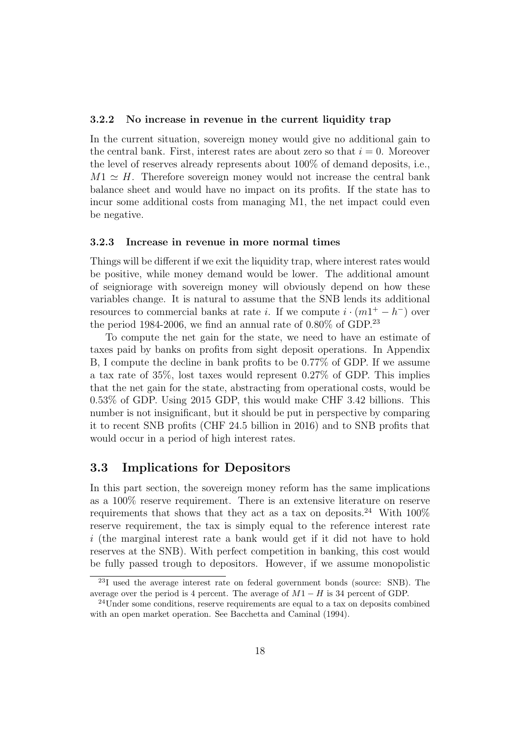#### 3.2.2 No increase in revenue in the current liquidity trap

In the current situation, sovereign money would give no additional gain to the central bank. First, interest rates are about zero so that  $i = 0$ . Moreover the level of reserves already represents about 100% of demand deposits, i.e.,  $M1 \simeq H$ . Therefore sovereign money would not increase the central bank balance sheet and would have no impact on its profits. If the state has to incur some additional costs from managing M1, the net impact could even be negative.

#### 3.2.3 Increase in revenue in more normal times

Things will be different if we exit the liquidity trap, where interest rates would be positive, while money demand would be lower. The additional amount of seigniorage with sovereign money will obviously depend on how these variables change. It is natural to assume that the SNB lends its additional resources to commercial banks at rate *i*. If we compute  $i \cdot (m1^+ - h^-)$  over the period 1984-2006, we find an annual rate of  $0.80\%$  of GDP.<sup>23</sup>

To compute the net gain for the state, we need to have an estimate of taxes paid by banks on profits from sight deposit operations. In Appendix B, I compute the decline in bank profits to be 0.77% of GDP. If we assume a tax rate of 35%, lost taxes would represent 0.27% of GDP. This implies that the net gain for the state, abstracting from operational costs, would be 0.53% of GDP. Using 2015 GDP, this would make CHF 3.42 billions. This number is not insignificant, but it should be put in perspective by comparing it to recent SNB profits (CHF 24.5 billion in 2016) and to SNB profits that would occur in a period of high interest rates.

## 3.3 Implications for Depositors

In this part section, the sovereign money reform has the same implications as a 100% reserve requirement. There is an extensive literature on reserve requirements that shows that they act as a tax on deposits.<sup>24</sup> With  $100\%$ reserve requirement, the tax is simply equal to the reference interest rate i (the marginal interest rate a bank would get if it did not have to hold reserves at the SNB). With perfect competition in banking, this cost would be fully passed trough to depositors. However, if we assume monopolistic

<sup>23</sup>I used the average interest rate on federal government bonds (source: SNB). The average over the period is 4 percent. The average of  $M1 - H$  is 34 percent of GDP.

<sup>&</sup>lt;sup>24</sup>Under some conditions, reserve requirements are equal to a tax on deposits combined with an open market operation. See Bacchetta and Caminal (1994).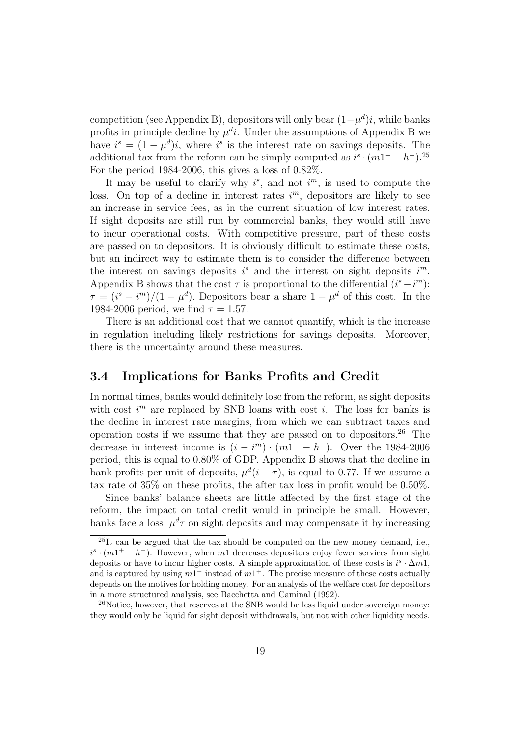competition (see Appendix B), depositors will only bear  $(1-\mu^d)i$ , while banks profits in principle decline by  $\mu^d i$ . Under the assumptions of Appendix B we have  $i^s = (1 - \mu^d)i$ , where  $i^s$  is the interest rate on savings deposits. The additional tax from the reform can be simply computed as  $i^s \cdot (m_1 - h^-)$ .<sup>25</sup> For the period 1984-2006, this gives a loss of 0.82%.

It may be useful to clarify why  $i^s$ , and not  $i^m$ , is used to compute the loss. On top of a decline in interest rates  $i<sup>m</sup>$ , depositors are likely to see an increase in service fees, as in the current situation of low interest rates. If sight deposits are still run by commercial banks, they would still have to incur operational costs. With competitive pressure, part of these costs are passed on to depositors. It is obviously difficult to estimate these costs, but an indirect way to estimate them is to consider the difference between the interest on savings deposits  $i^s$  and the interest on sight deposits  $i^m$ . Appendix B shows that the cost  $\tau$  is proportional to the differential  $(i^s - i^m)$ :  $\tau = (i^s - i^m)/(1 - \mu^d)$ . Depositors bear a share  $1 - \mu^d$  of this cost. In the 1984-2006 period, we find  $\tau = 1.57$ .

There is an additional cost that we cannot quantify, which is the increase in regulation including likely restrictions for savings deposits. Moreover, there is the uncertainty around these measures.

## 3.4 Implications for Banks Profits and Credit

In normal times, banks would definitely lose from the reform, as sight deposits with cost  $i<sup>m</sup>$  are replaced by SNB loans with cost i. The loss for banks is the decline in interest rate margins, from which we can subtract taxes and operation costs if we assume that they are passed on to depositors.<sup>26</sup> The decrease in interest income is  $(i - i<sup>m</sup>) \cdot (m1<sup>-</sup> - h<sup>-</sup>)$ . Over the 1984-2006 period, this is equal to 0.80% of GDP. Appendix B shows that the decline in bank profits per unit of deposits,  $\mu^{d}(i-\tau)$ , is equal to 0.77. If we assume a tax rate of 35% on these profits, the after tax loss in profit would be 0.50%.

Since banks' balance sheets are little affected by the first stage of the reform, the impact on total credit would in principle be small. However, banks face a loss  $\mu^d \tau$  on sight deposits and may compensate it by increasing

 $^{25}$ It can be argued that the tax should be computed on the new money demand, i.e.,  $i<sup>s</sup> \cdot (m1<sup>+</sup> - h<sup>-</sup>)$ . However, when m1 decreases depositors enjoy fewer services from sight deposits or have to incur higher costs. A simple approximation of these costs is  $i<sup>s</sup> \cdot \Delta m1$ , and is captured by using  $m1^-$  instead of  $m1^+$ . The precise measure of these costs actually depends on the motives for holding money. For an analysis of the welfare cost for depositors in a more structured analysis, see Bacchetta and Caminal (1992).

 $^{26}$ Notice, however, that reserves at the SNB would be less liquid under sovereign money: they would only be liquid for sight deposit withdrawals, but not with other liquidity needs.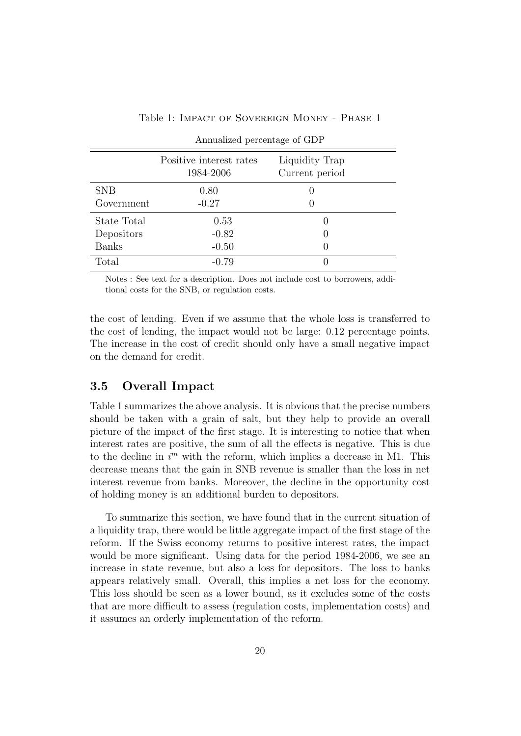#### Table 1: Impact of Sovereign Money - Phase 1

|              | Positive interest rates<br>1984-2006 | Liquidity Trap<br>Current period |
|--------------|--------------------------------------|----------------------------------|
| <b>SNB</b>   | 0.80                                 |                                  |
| Government   | $-0.27$                              |                                  |
| State Total  | 0.53                                 |                                  |
| Depositors   | $-0.82$                              |                                  |
| <b>Banks</b> | $-0.50$                              |                                  |
| Total        | $-0.79$                              |                                  |

Annualized percentage of GDP

Notes : See text for a description. Does not include cost to borrowers, additional costs for the SNB, or regulation costs.

the cost of lending. Even if we assume that the whole loss is transferred to the cost of lending, the impact would not be large: 0.12 percentage points. The increase in the cost of credit should only have a small negative impact on the demand for credit.

## 3.5 Overall Impact

Table 1 summarizes the above analysis. It is obvious that the precise numbers should be taken with a grain of salt, but they help to provide an overall picture of the impact of the first stage. It is interesting to notice that when interest rates are positive, the sum of all the effects is negative. This is due to the decline in  $i<sup>m</sup>$  with the reform, which implies a decrease in M1. This decrease means that the gain in SNB revenue is smaller than the loss in net interest revenue from banks. Moreover, the decline in the opportunity cost of holding money is an additional burden to depositors.

To summarize this section, we have found that in the current situation of a liquidity trap, there would be little aggregate impact of the first stage of the reform. If the Swiss economy returns to positive interest rates, the impact would be more significant. Using data for the period 1984-2006, we see an increase in state revenue, but also a loss for depositors. The loss to banks appears relatively small. Overall, this implies a net loss for the economy. This loss should be seen as a lower bound, as it excludes some of the costs that are more difficult to assess (regulation costs, implementation costs) and it assumes an orderly implementation of the reform.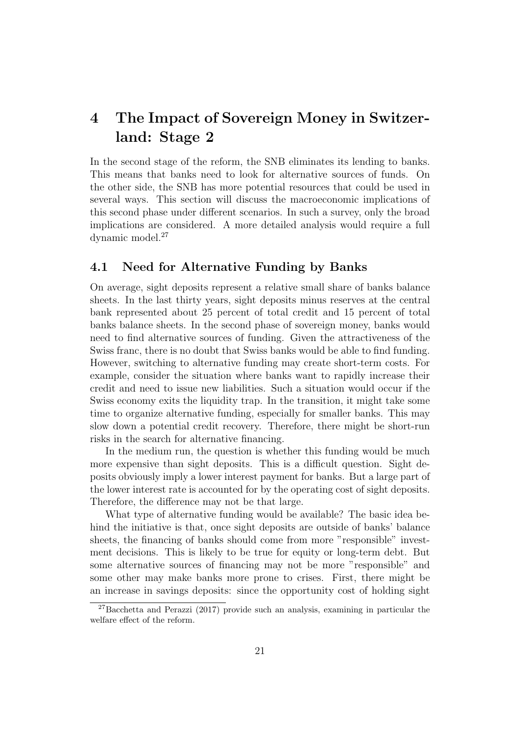# 4 The Impact of Sovereign Money in Switzerland: Stage 2

In the second stage of the reform, the SNB eliminates its lending to banks. This means that banks need to look for alternative sources of funds. On the other side, the SNB has more potential resources that could be used in several ways. This section will discuss the macroeconomic implications of this second phase under different scenarios. In such a survey, only the broad implications are considered. A more detailed analysis would require a full dynamic model.<sup>27</sup>

## 4.1 Need for Alternative Funding by Banks

On average, sight deposits represent a relative small share of banks balance sheets. In the last thirty years, sight deposits minus reserves at the central bank represented about 25 percent of total credit and 15 percent of total banks balance sheets. In the second phase of sovereign money, banks would need to find alternative sources of funding. Given the attractiveness of the Swiss franc, there is no doubt that Swiss banks would be able to find funding. However, switching to alternative funding may create short-term costs. For example, consider the situation where banks want to rapidly increase their credit and need to issue new liabilities. Such a situation would occur if the Swiss economy exits the liquidity trap. In the transition, it might take some time to organize alternative funding, especially for smaller banks. This may slow down a potential credit recovery. Therefore, there might be short-run risks in the search for alternative financing.

In the medium run, the question is whether this funding would be much more expensive than sight deposits. This is a difficult question. Sight deposits obviously imply a lower interest payment for banks. But a large part of the lower interest rate is accounted for by the operating cost of sight deposits. Therefore, the difference may not be that large.

What type of alternative funding would be available? The basic idea behind the initiative is that, once sight deposits are outside of banks' balance sheets, the financing of banks should come from more "responsible" investment decisions. This is likely to be true for equity or long-term debt. But some alternative sources of financing may not be more "responsible" and some other may make banks more prone to crises. First, there might be an increase in savings deposits: since the opportunity cost of holding sight

<sup>27</sup>Bacchetta and Perazzi (2017) provide such an analysis, examining in particular the welfare effect of the reform.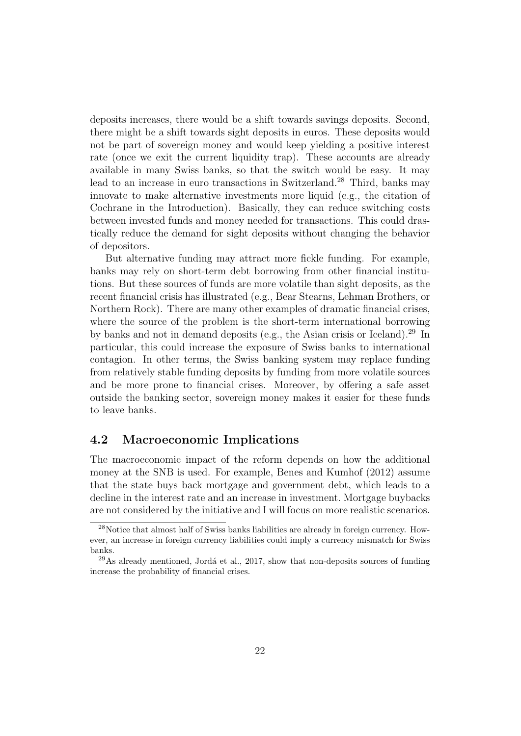deposits increases, there would be a shift towards savings deposits. Second, there might be a shift towards sight deposits in euros. These deposits would not be part of sovereign money and would keep yielding a positive interest rate (once we exit the current liquidity trap). These accounts are already available in many Swiss banks, so that the switch would be easy. It may lead to an increase in euro transactions in Switzerland.<sup>28</sup> Third, banks may innovate to make alternative investments more liquid (e.g., the citation of Cochrane in the Introduction). Basically, they can reduce switching costs between invested funds and money needed for transactions. This could drastically reduce the demand for sight deposits without changing the behavior of depositors.

But alternative funding may attract more fickle funding. For example, banks may rely on short-term debt borrowing from other financial institutions. But these sources of funds are more volatile than sight deposits, as the recent financial crisis has illustrated (e.g., Bear Stearns, Lehman Brothers, or Northern Rock). There are many other examples of dramatic financial crises, where the source of the problem is the short-term international borrowing by banks and not in demand deposits (e.g., the Asian crisis or Iceland).<sup>29</sup> In particular, this could increase the exposure of Swiss banks to international contagion. In other terms, the Swiss banking system may replace funding from relatively stable funding deposits by funding from more volatile sources and be more prone to financial crises. Moreover, by offering a safe asset outside the banking sector, sovereign money makes it easier for these funds to leave banks.

## 4.2 Macroeconomic Implications

The macroeconomic impact of the reform depends on how the additional money at the SNB is used. For example, Benes and Kumhof (2012) assume that the state buys back mortgage and government debt, which leads to a decline in the interest rate and an increase in investment. Mortgage buybacks are not considered by the initiative and I will focus on more realistic scenarios.

<sup>28</sup>Notice that almost half of Swiss banks liabilities are already in foreign currency. However, an increase in foreign currency liabilities could imply a currency mismatch for Swiss banks.

 $^{29}$ As already mentioned, Jordá et al., 2017, show that non-deposits sources of funding increase the probability of financial crises.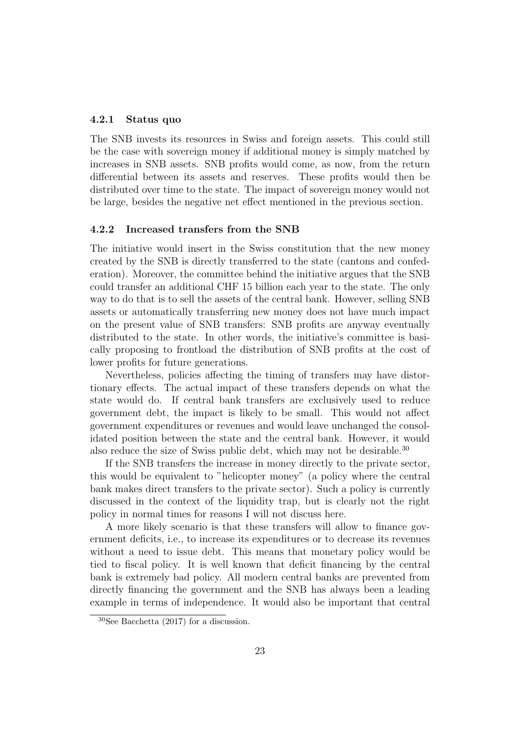#### 4.2.1 Status quo

The SNB invests its resources in Swiss and foreign assets. This could still be the case with sovereign money if additional money is simply matched by increases in SNB assets. SNB profits would come, as now, from the return differential between its assets and reserves. These profits would then be distributed over time to the state. The impact of sovereign money would not be large, besides the negative net effect mentioned in the previous section.

#### 4.2.2 Increased transfers from the SNB

The initiative would insert in the Swiss constitution that the new money created by the SNB is directly transferred to the state (cantons and confederation). Moreover, the committee behind the initiative argues that the SNB could transfer an additional CHF 15 billion each year to the state. The only way to do that is to sell the assets of the central bank. However, selling SNB assets or automatically transferring new money does not have much impact on the present value of SNB transfers: SNB profits are anyway eventually distributed to the state. In other words, the initiative's committee is basically proposing to frontload the distribution of SNB profits at the cost of lower profits for future generations.

Nevertheless, policies affecting the timing of transfers may have distortionary effects. The actual impact of these transfers depends on what the state would do. If central bank transfers are exclusively used to reduce government debt, the impact is likely to be small. This would not affect government expenditures or revenues and would leave unchanged the consolidated position between the state and the central bank. However, it would also reduce the size of Swiss public debt, which may not be desirable.<sup>30</sup>

If the SNB transfers the increase in money directly to the private sector, this would be equivalent to "helicopter money" (a policy where the central bank makes direct transfers to the private sector). Such a policy is currently discussed in the context of the liquidity trap, but is clearly not the right policy in normal times for reasons I will not discuss here.

A more likely scenario is that these transfers will allow to finance government deficits, i.e., to increase its expenditures or to decrease its revenues without a need to issue debt. This means that monetary policy would be tied to fiscal policy. It is well known that deficit financing by the central bank is extremely bad policy. All modern central banks are prevented from directly financing the government and the SNB has always been a leading example in terms of independence. It would also be important that central

 $30$ See Bacchetta (2017) for a discussion.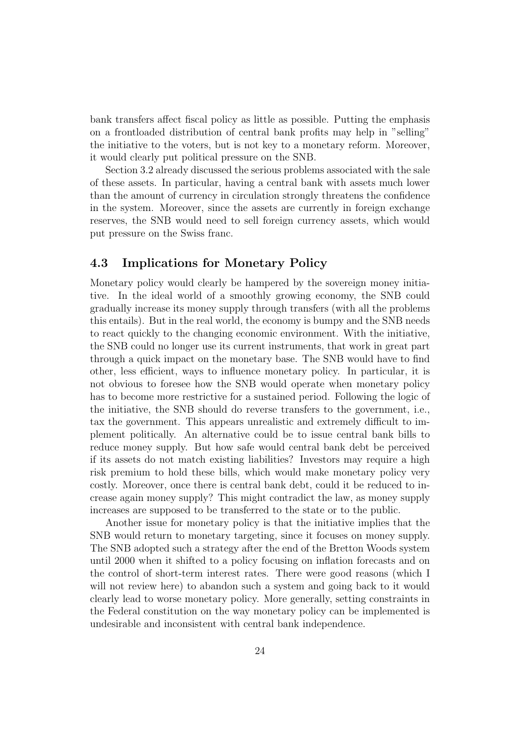bank transfers affect fiscal policy as little as possible. Putting the emphasis on a frontloaded distribution of central bank profits may help in "selling" the initiative to the voters, but is not key to a monetary reform. Moreover, it would clearly put political pressure on the SNB.

Section 3.2 already discussed the serious problems associated with the sale of these assets. In particular, having a central bank with assets much lower than the amount of currency in circulation strongly threatens the confidence in the system. Moreover, since the assets are currently in foreign exchange reserves, the SNB would need to sell foreign currency assets, which would put pressure on the Swiss franc.

## 4.3 Implications for Monetary Policy

Monetary policy would clearly be hampered by the sovereign money initiative. In the ideal world of a smoothly growing economy, the SNB could gradually increase its money supply through transfers (with all the problems this entails). But in the real world, the economy is bumpy and the SNB needs to react quickly to the changing economic environment. With the initiative, the SNB could no longer use its current instruments, that work in great part through a quick impact on the monetary base. The SNB would have to find other, less efficient, ways to influence monetary policy. In particular, it is not obvious to foresee how the SNB would operate when monetary policy has to become more restrictive for a sustained period. Following the logic of the initiative, the SNB should do reverse transfers to the government, i.e., tax the government. This appears unrealistic and extremely difficult to implement politically. An alternative could be to issue central bank bills to reduce money supply. But how safe would central bank debt be perceived if its assets do not match existing liabilities? Investors may require a high risk premium to hold these bills, which would make monetary policy very costly. Moreover, once there is central bank debt, could it be reduced to increase again money supply? This might contradict the law, as money supply increases are supposed to be transferred to the state or to the public.

Another issue for monetary policy is that the initiative implies that the SNB would return to monetary targeting, since it focuses on money supply. The SNB adopted such a strategy after the end of the Bretton Woods system until 2000 when it shifted to a policy focusing on inflation forecasts and on the control of short-term interest rates. There were good reasons (which I will not review here) to abandon such a system and going back to it would clearly lead to worse monetary policy. More generally, setting constraints in the Federal constitution on the way monetary policy can be implemented is undesirable and inconsistent with central bank independence.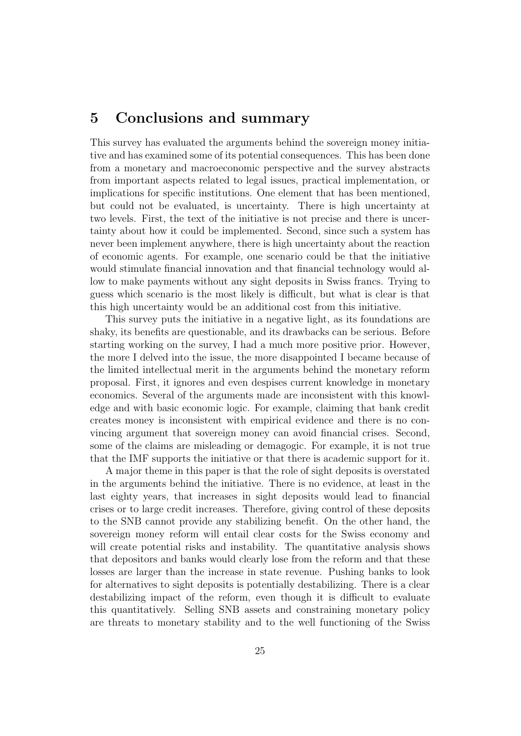## 5 Conclusions and summary

This survey has evaluated the arguments behind the sovereign money initiative and has examined some of its potential consequences. This has been done from a monetary and macroeconomic perspective and the survey abstracts from important aspects related to legal issues, practical implementation, or implications for specific institutions. One element that has been mentioned, but could not be evaluated, is uncertainty. There is high uncertainty at two levels. First, the text of the initiative is not precise and there is uncertainty about how it could be implemented. Second, since such a system has never been implement anywhere, there is high uncertainty about the reaction of economic agents. For example, one scenario could be that the initiative would stimulate financial innovation and that financial technology would allow to make payments without any sight deposits in Swiss francs. Trying to guess which scenario is the most likely is difficult, but what is clear is that this high uncertainty would be an additional cost from this initiative.

This survey puts the initiative in a negative light, as its foundations are shaky, its benefits are questionable, and its drawbacks can be serious. Before starting working on the survey, I had a much more positive prior. However, the more I delved into the issue, the more disappointed I became because of the limited intellectual merit in the arguments behind the monetary reform proposal. First, it ignores and even despises current knowledge in monetary economics. Several of the arguments made are inconsistent with this knowledge and with basic economic logic. For example, claiming that bank credit creates money is inconsistent with empirical evidence and there is no convincing argument that sovereign money can avoid financial crises. Second, some of the claims are misleading or demagogic. For example, it is not true that the IMF supports the initiative or that there is academic support for it.

A major theme in this paper is that the role of sight deposits is overstated in the arguments behind the initiative. There is no evidence, at least in the last eighty years, that increases in sight deposits would lead to financial crises or to large credit increases. Therefore, giving control of these deposits to the SNB cannot provide any stabilizing benefit. On the other hand, the sovereign money reform will entail clear costs for the Swiss economy and will create potential risks and instability. The quantitative analysis shows that depositors and banks would clearly lose from the reform and that these losses are larger than the increase in state revenue. Pushing banks to look for alternatives to sight deposits is potentially destabilizing. There is a clear destabilizing impact of the reform, even though it is difficult to evaluate this quantitatively. Selling SNB assets and constraining monetary policy are threats to monetary stability and to the well functioning of the Swiss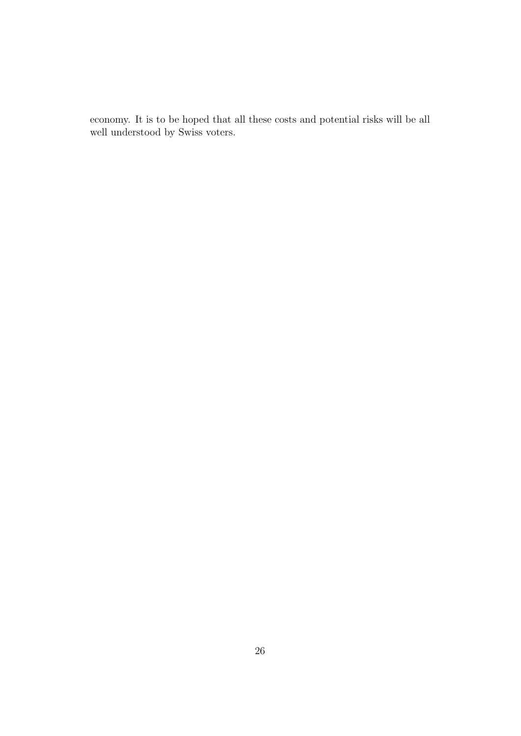economy. It is to be hoped that all these costs and potential risks will be all well understood by Swiss voters.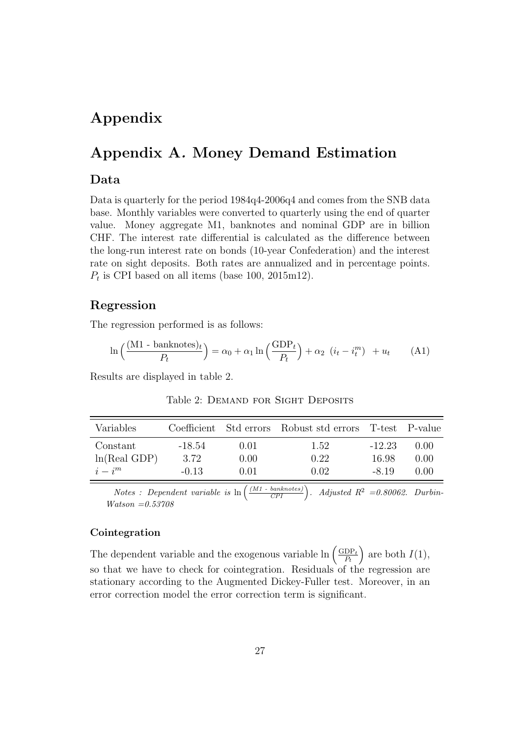# Appendix

# Appendix A. Money Demand Estimation

## Data

Data is quarterly for the period 1984q4-2006q4 and comes from the SNB data base. Monthly variables were converted to quarterly using the end of quarter value. Money aggregate M1, banknotes and nominal GDP are in billion CHF. The interest rate differential is calculated as the difference between the long-run interest rate on bonds (10-year Confederation) and the interest rate on sight deposits. Both rates are annualized and in percentage points.  $P_t$  is CPI based on all items (base 100, 2015m12).

## Regression

The regression performed is as follows:

$$
\ln\left(\frac{(M1 - \text{banknotes})_t}{P_t}\right) = \alpha_0 + \alpha_1 \ln\left(\frac{\text{GDP}_t}{P_t}\right) + \alpha_2 \ (i_t - i_t^m) + u_t \tag{A1}
$$

Results are displayed in table 2.

| Variables    |         |        | Coefficient Std errors Robust std errors T-test P-value |          |        |
|--------------|---------|--------|---------------------------------------------------------|----------|--------|
| Constant     | -18.54  | (0.01) | 1.52                                                    | $-12.23$ | (0.00) |
| ln(Real GDP) | 3.72    | 0.00   | 0.22                                                    | 16.98    | 0.00   |
| $i - i^m$    | $-0.13$ | (0.01) | 0.02                                                    | -8.19    | 0.00   |

Table 2: DEMAND FOR SIGHT DEPOSITS

Notes : Dependent variable is  $\ln\left(\frac{(M1 - banknotes)}{CPI}\right)$ . Adjusted  $R^2 = 0.80062$ . Durbin- $Watson = 0.53708$ 

### Cointegration

The dependent variable and the exogenous variable  $\ln \left( \frac{GDP_t}{P_t} \right)$  $P_t$ ) are both  $I(1)$ , so that we have to check for cointegration. Residuals of the regression are stationary according to the Augmented Dickey-Fuller test. Moreover, in an error correction model the error correction term is significant.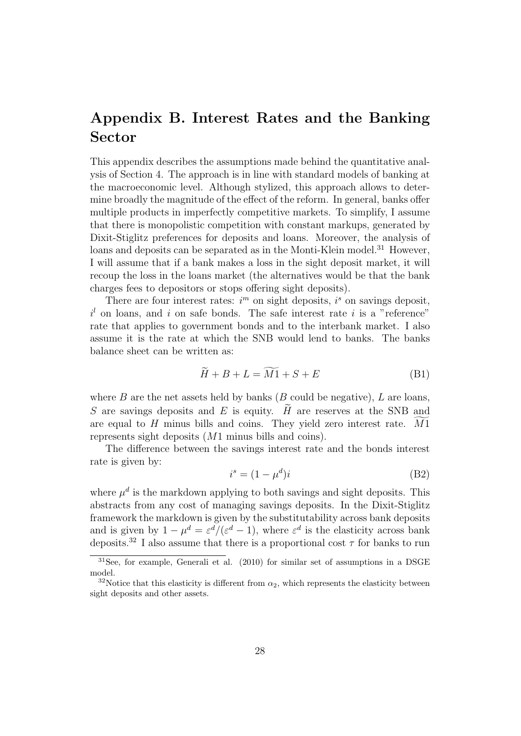# Appendix B. Interest Rates and the Banking Sector

This appendix describes the assumptions made behind the quantitative analysis of Section 4. The approach is in line with standard models of banking at the macroeconomic level. Although stylized, this approach allows to determine broadly the magnitude of the effect of the reform. In general, banks offer multiple products in imperfectly competitive markets. To simplify, I assume that there is monopolistic competition with constant markups, generated by Dixit-Stiglitz preferences for deposits and loans. Moreover, the analysis of loans and deposits can be separated as in the Monti-Klein model.<sup>31</sup> However, I will assume that if a bank makes a loss in the sight deposit market, it will recoup the loss in the loans market (the alternatives would be that the bank charges fees to depositors or stops offering sight deposits).

There are four interest rates:  $i<sup>m</sup>$  on sight deposits,  $i<sup>s</sup>$  on savings deposit,  $i<sup>l</sup>$  on loans, and i on safe bonds. The safe interest rate i is a "reference" rate that applies to government bonds and to the interbank market. I also assume it is the rate at which the SNB would lend to banks. The banks balance sheet can be written as:

$$
\widetilde{H} + B + L = \widetilde{M1} + S + E \tag{B1}
$$

where  $B$  are the net assets held by banks  $(B \text{ could be negative})$ ,  $L$  are loans, S are savings deposits and E is equity.  $H$  are reserves at the SNB and are equal to  $H$  minus bills and coins. They yield zero interest rate. M1 represents sight deposits (M1 minus bills and coins).

The difference between the savings interest rate and the bonds interest rate is given by:

$$
i^s = (1 - \mu^d)i
$$
 (B2)

where  $\mu^d$  is the markdown applying to both savings and sight deposits. This abstracts from any cost of managing savings deposits. In the Dixit-Stiglitz framework the markdown is given by the substitutability across bank deposits and is given by  $1 - \mu^d = \varepsilon^d/(\varepsilon^d - 1)$ , where  $\varepsilon^d$  is the elasticity across bank deposits.<sup>32</sup> I also assume that there is a proportional cost  $\tau$  for banks to run

<sup>&</sup>lt;sup>31</sup>See, for example, Generali et al. (2010) for similar set of assumptions in a DSGE model.

<sup>&</sup>lt;sup>32</sup>Notice that this elasticity is different from  $\alpha_2$ , which represents the elasticity between sight deposits and other assets.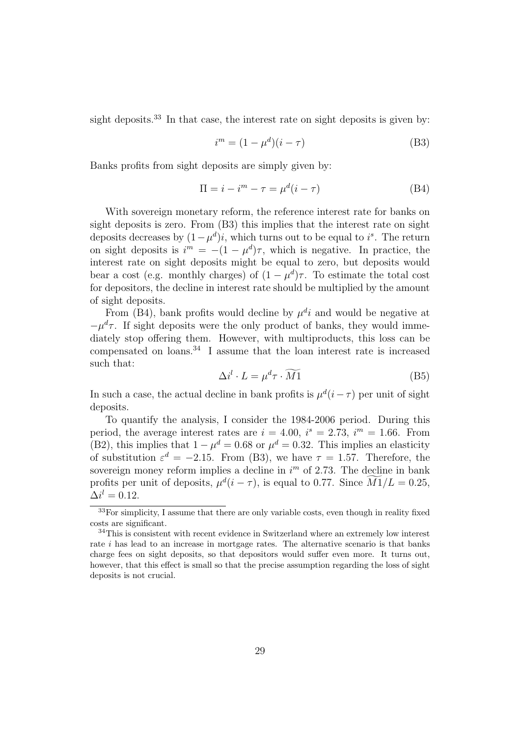sight deposits.<sup>33</sup> In that case, the interest rate on sight deposits is given by:

$$
i^{m} = (1 - \mu^{d})(i - \tau)
$$
 (B3)

Banks profits from sight deposits are simply given by:

$$
\Pi = i - im - \tau = \mud(i - \tau)
$$
 (B4)

With sovereign monetary reform, the reference interest rate for banks on sight deposits is zero. From (B3) this implies that the interest rate on sight deposits decreases by  $(1 - \mu^d)i$ , which turns out to be equal to i<sup>s</sup>. The return on sight deposits is  $i^m = -(1 - \mu^d)\tau$ , which is negative. In practice, the interest rate on sight deposits might be equal to zero, but deposits would bear a cost (e.g. monthly charges) of  $(1 - \mu^d)\tau$ . To estimate the total cost for depositors, the decline in interest rate should be multiplied by the amount of sight deposits.

From (B4), bank profits would decline by  $\mu^d i$  and would be negative at  $-\mu^d\tau$ . If sight deposits were the only product of banks, they would immediately stop offering them. However, with multiproducts, this loss can be compensated on loans.<sup>34</sup> I assume that the loan interest rate is increased such that:

$$
\Delta i^l \cdot L = \mu^d \tau \cdot \widetilde{M1} \tag{B5}
$$

In such a case, the actual decline in bank profits is  $\mu^{d}(i-\tau)$  per unit of sight deposits.

To quantify the analysis, I consider the 1984-2006 period. During this period, the average interest rates are  $i = 4.00$ ,  $i^s = 2.73$ ,  $i^m = 1.66$ . From (B2), this implies that  $1 - \mu^d = 0.68$  or  $\mu^d = 0.32$ . This implies an elasticity of substitution  $\varepsilon^d = -2.15$ . From (B3), we have  $\tau = 1.57$ . Therefore, the sovereign money reform implies a decline in  $i<sup>m</sup>$  of 2.73. The decline in bank profits per unit of deposits,  $\mu^{d}(i-\tau)$ , is equal to 0.77. Since  $\overline{M_1}/L = 0.25$ ,  $\Delta i^l = 0.12$ .

<sup>33</sup>For simplicity, I assume that there are only variable costs, even though in reality fixed costs are significant.

<sup>34</sup>This is consistent with recent evidence in Switzerland where an extremely low interest rate i has lead to an increase in mortgage rates. The alternative scenario is that banks charge fees on sight deposits, so that depositors would suffer even more. It turns out, however, that this effect is small so that the precise assumption regarding the loss of sight deposits is not crucial.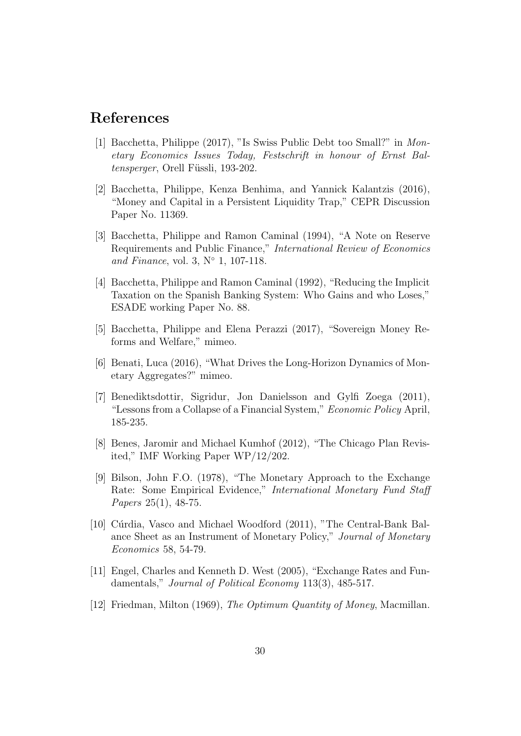## References

- [1] Bacchetta, Philippe (2017), "Is Swiss Public Debt too Small?" in Monetary Economics Issues Today, Festschrift in honour of Ernst Baltensperger, Orell Füssli, 193-202.
- [2] Bacchetta, Philippe, Kenza Benhima, and Yannick Kalantzis (2016), "Money and Capital in a Persistent Liquidity Trap," CEPR Discussion Paper No. 11369.
- [3] Bacchetta, Philippe and Ramon Caminal (1994), "A Note on Reserve Requirements and Public Finance," International Review of Economics and Finance, vol. 3, N◦ 1, 107-118.
- [4] Bacchetta, Philippe and Ramon Caminal (1992), "Reducing the Implicit Taxation on the Spanish Banking System: Who Gains and who Loses," ESADE working Paper No. 88.
- [5] Bacchetta, Philippe and Elena Perazzi (2017), "Sovereign Money Reforms and Welfare," mimeo.
- [6] Benati, Luca (2016), "What Drives the Long-Horizon Dynamics of Monetary Aggregates?" mimeo.
- [7] Benediktsdottir, Sigridur, Jon Danielsson and Gylfi Zoega (2011), "Lessons from a Collapse of a Financial System," Economic Policy April, 185-235.
- [8] Benes, Jaromir and Michael Kumhof (2012), "The Chicago Plan Revisited," IMF Working Paper WP/12/202.
- [9] Bilson, John F.O. (1978), "The Monetary Approach to the Exchange Rate: Some Empirical Evidence," International Monetary Fund Staff Papers 25(1), 48-75.
- [10] Cúrdia, Vasco and Michael Woodford (2011), "The Central-Bank Balance Sheet as an Instrument of Monetary Policy," Journal of Monetary Economics 58, 54-79.
- [11] Engel, Charles and Kenneth D. West (2005), "Exchange Rates and Fundamentals," *Journal of Political Economy* 113(3), 485-517.
- [12] Friedman, Milton (1969), The Optimum Quantity of Money, Macmillan.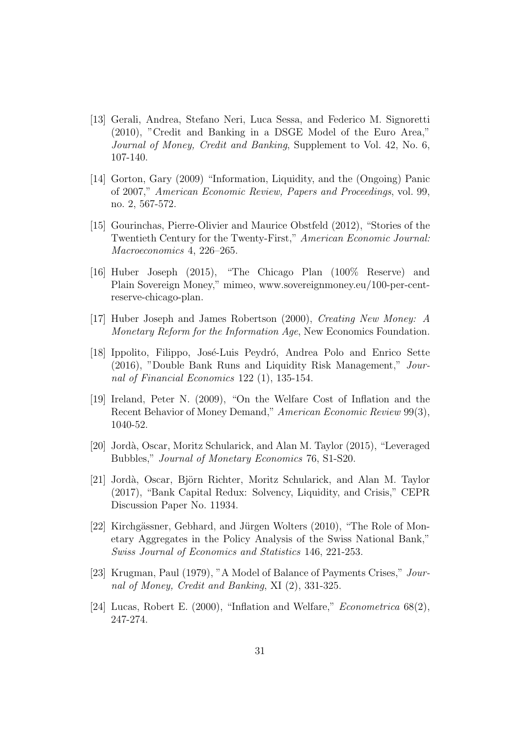- [13] Gerali, Andrea, Stefano Neri, Luca Sessa, and Federico M. Signoretti (2010), "Credit and Banking in a DSGE Model of the Euro Area," Journal of Money, Credit and Banking, Supplement to Vol. 42, No. 6, 107-140.
- [14] Gorton, Gary (2009) "Information, Liquidity, and the (Ongoing) Panic of 2007," American Economic Review, Papers and Proceedings, vol. 99, no. 2, 567-572.
- [15] Gourinchas, Pierre-Olivier and Maurice Obstfeld (2012), "Stories of the Twentieth Century for the Twenty-First," American Economic Journal: Macroeconomics 4, 226–265.
- [16] Huber Joseph (2015), "The Chicago Plan (100% Reserve) and Plain Sovereign Money," mimeo, www.sovereignmoney.eu/100-per-centreserve-chicago-plan.
- [17] Huber Joseph and James Robertson (2000), Creating New Money: A Monetary Reform for the Information Age, New Economics Foundation.
- [18] Ippolito, Filippo, José-Luis Peydró, Andrea Polo and Enrico Sette (2016), "Double Bank Runs and Liquidity Risk Management," Journal of Financial Economics 122 (1), 135-154.
- [19] Ireland, Peter N. (2009), "On the Welfare Cost of Inflation and the Recent Behavior of Money Demand," American Economic Review 99(3), 1040-52.
- [20] Jord`a, Oscar, Moritz Schularick, and Alan M. Taylor (2015), "Leveraged Bubbles," Journal of Monetary Economics 76, S1-S20.
- [21] Jordà, Oscar, Björn Richter, Moritz Schularick, and Alan M. Taylor (2017), "Bank Capital Redux: Solvency, Liquidity, and Crisis," CEPR Discussion Paper No. 11934.
- [22] Kirchgässner, Gebhard, and Jürgen Wolters (2010), "The Role of Monetary Aggregates in the Policy Analysis of the Swiss National Bank," Swiss Journal of Economics and Statistics 146, 221-253.
- [23] Krugman, Paul (1979), "A Model of Balance of Payments Crises," Journal of Money, Credit and Banking, XI (2), 331-325.
- [24] Lucas, Robert E. (2000), "Inflation and Welfare," *Econometrica* 68(2), 247-274.